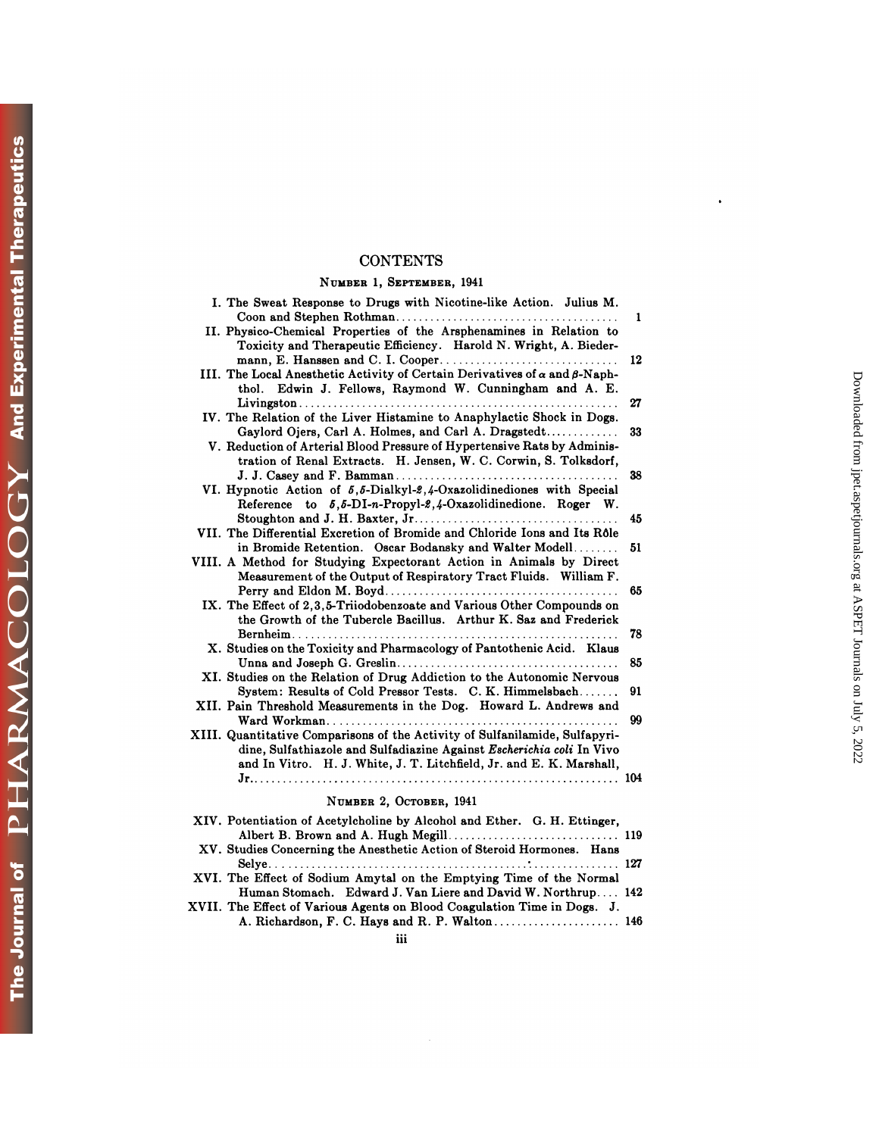## **CONTENTS**

## **NUMBER** 1, **SEPTEMBER,** 1941

| <b>CONTENTS</b>                                                                                                                                                                                                              |                                                                                |
|------------------------------------------------------------------------------------------------------------------------------------------------------------------------------------------------------------------------------|--------------------------------------------------------------------------------|
| NUMBER 1, SEPTEMBER, 1941                                                                                                                                                                                                    |                                                                                |
| I. The Sweat Response to Drugs with Nicotine-like Action. Julius M.<br>II. Physico-Chemical Properties of the Arsphenamines in Relation to                                                                                   | 1                                                                              |
| Toxicity and Therapeutic Efficiency. Harold N. Wright, A. Bieder-<br>III. The Local Anesthetic Activity of Certain Derivatives of $\alpha$ and $\beta$ -Naph-<br>thol. Edwin J. Fellows, Raymond W. Cunningham and A. E.     | 12                                                                             |
| IV. The Relation of the Liver Histamine to Anaphylactic Shock in Dogs.                                                                                                                                                       | 27                                                                             |
| Gaylord Ojers, Carl A. Holmes, and Carl A. Dragstedt<br>V. Reduction of Arterial Blood Pressure of Hypertensive Rats by Adminis-<br>tration of Renal Extracts. H. Jensen, W. C. Corwin, S. Tolksdorf,                        | 33                                                                             |
| VI. Hypnotic Action of 5.5-Dialkyl-2.4-Oxazolidinediones with Special<br>Reference to 5,5-DI-n-Propyl-2,4-Oxazolidinedione. Roger W.                                                                                         | 38                                                                             |
| VII. The Differential Excretion of Bromide and Chloride Ions and Its Rôle                                                                                                                                                    | 45<br>51                                                                       |
| in Bromide Retention. Oscar Bodansky and Walter Modell<br>VIII. A Method for Studying Expectorant Action in Animals by Direct<br>Measurement of the Output of Respiratory Tract Fluids. William F.                           |                                                                                |
| IX. The Effect of 2.3.5-Triiodobenzoate and Various Other Compounds on<br>the Growth of the Tubercle Bacillus. Arthur K. Saz and Frederick                                                                                   | Downloaded from jpet.aspetjournals.org at ASPET Journals on July 5, 2022<br>65 |
| X. Studies on the Toxicity and Pharmacology of Pantothenic Acid. Klaus                                                                                                                                                       | 78<br>85                                                                       |
| XI. Studies on the Relation of Drug Addiction to the Autonomic Nervous<br>System: Results of Cold Pressor Tests. C. K. Himmelsbach                                                                                           | 91                                                                             |
| XII. Pain Threshold Measurements in the Dog. Howard L. Andrews and                                                                                                                                                           | 99                                                                             |
| XIII. Quantitative Comparisons of the Activity of Sulfanilamide, Sulfapyri-<br>dine, Sulfathiazole and Sulfadiazine Against Escherichia coli In Vivo<br>and In Vitro. H. J. White, J. T. Litchfield, Jr. and E. K. Marshall, |                                                                                |
| NUMBER 2, OCTOBER, 1941                                                                                                                                                                                                      |                                                                                |
| XIV. Potentiation of Acetylcholine by Alcohol and Ether. G. H. Ettinger,                                                                                                                                                     |                                                                                |
| XV. Studies Concerning the Anesthetic Action of Steroid Hormones. Hans                                                                                                                                                       |                                                                                |
| XVI. The Effect of Sodium Amytal on the Emptying Time of the Normal<br>Human Stomach. Edward J. Van Liere and David W. Northrup 142                                                                                          |                                                                                |
| XVII. The Effect of Various Agents on Blood Coagulation Time in Dogs. J.                                                                                                                                                     |                                                                                |
| iii                                                                                                                                                                                                                          |                                                                                |

 $\ddot{\phantom{0}}$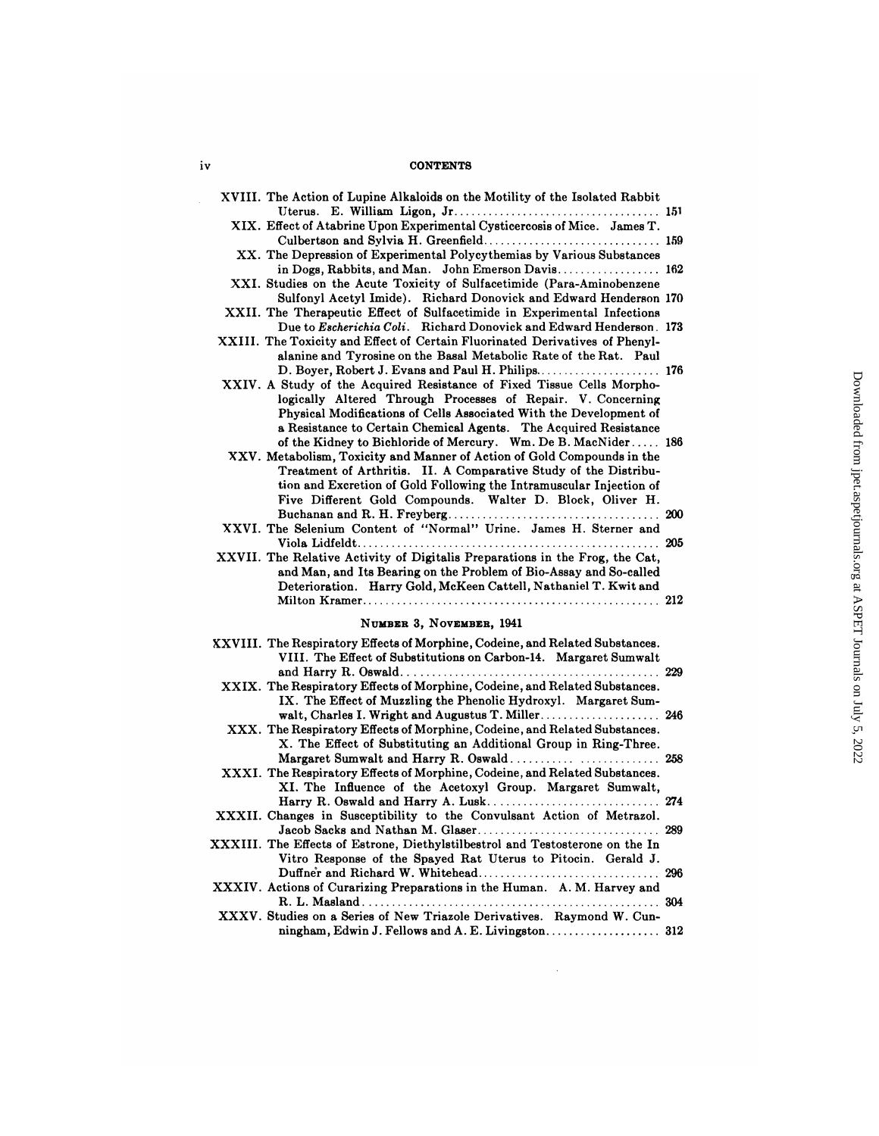## iv CONTENTS

| V | <b>CONTENTS</b>                                                                                                                                                                                                                                                                                                                                   |  |
|---|---------------------------------------------------------------------------------------------------------------------------------------------------------------------------------------------------------------------------------------------------------------------------------------------------------------------------------------------------|--|
|   | XVIII. The Action of Lupine Alkaloids on the Motility of the Isolated Rabbit                                                                                                                                                                                                                                                                      |  |
|   | XIX. Effect of Atabrine Upon Experimental Cysticercosis of Mice. James T.                                                                                                                                                                                                                                                                         |  |
|   | XX. The Depression of Experimental Polycythemias by Various Substances<br>in Dogs, Rabbits, and Man. John Emerson Davis 162                                                                                                                                                                                                                       |  |
|   | XXI. Studies on the Acute Toxicity of Sulfacetimide (Para-Aminobenzene<br>Sulfonyl Acetyl Imide). Richard Donovick and Edward Henderson 170                                                                                                                                                                                                       |  |
|   | XXII. The Therapeutic Effect of Sulfacetimide in Experimental Infections<br>Due to Escherichia Coli. Richard Donovick and Edward Henderson. 173                                                                                                                                                                                                   |  |
|   | XXIII. The Toxicity and Effect of Certain Fluorinated Derivatives of Phenyl-<br>alanine and Tyrosine on the Basal Metabolic Rate of the Rat. Paul                                                                                                                                                                                                 |  |
|   | XXIV. A Study of the Acquired Resistance of Fixed Tissue Cells Morpho-<br>logically Altered Through Processes of Repair. V. Concerning<br>Physical Modifications of Cells Associated With the Development of<br>a Resistance to Certain Chemical Agents. The Acquired Resistance                                                                  |  |
|   | of the Kidney to Bichloride of Mercury. Wm. De B. MacNider 186<br>XXV. Metabolism, Toxicity and Manner of Action of Gold Compounds in the<br>Treatment of Arthritis. II. A Comparative Study of the Distribu-<br>tion and Excretion of Gold Following the Intramuscular Injection of<br>Five Different Gold Compounds. Walter D. Block, Oliver H. |  |
|   | XXVI. The Selenium Content of "Normal" Urine. James H. Sterner and                                                                                                                                                                                                                                                                                |  |
|   | XXVII. The Relative Activity of Digitalis Preparations in the Frog, the Cat,<br>and Man, and Its Bearing on the Problem of Bio-Assay and So-called<br>Deterioration. Harry Gold, McKeen Cattell, Nathaniel T. Kwit and                                                                                                                            |  |
|   | NUMBER 3, NOVEMBER, 1941                                                                                                                                                                                                                                                                                                                          |  |
|   | XXVIII. The Respiratory Effects of Morphine, Codeine, and Related Substances.<br>VIII. The Effect of Substitutions on Carbon-14. Margaret Sumwalt                                                                                                                                                                                                 |  |
|   | XXIX. The Respiratory Effects of Morphine, Codeine, and Related Substances.<br>IX. The Effect of Muzzling the Phenolic Hydroxyl. Margaret Sum-                                                                                                                                                                                                    |  |
|   | walt, Charles I. Wright and Augustus T. Miller 246<br>XXX. The Respiratory Effects of Morphine, Codeine, and Related Substances.<br>X. The Effect of Substituting an Additional Group in Ring-Three.                                                                                                                                              |  |
|   | Margaret Sumwalt and Harry R. Oswald 258<br>XXXI. The Respiratory Effects of Morphine, Codeine, and Related Substances.<br>XI. The Influence of the Acetoxyl Group. Margaret Sumwalt,                                                                                                                                                             |  |
|   | XXXII. Changes in Susceptibility to the Convulsant Action of Metrazol.                                                                                                                                                                                                                                                                            |  |
|   | XXXIII. The Effects of Estrone, Diethylstilbestrol and Testosterone on the In<br>Vitro Response of the Spayed Rat Uterus to Pitocin. Gerald J.                                                                                                                                                                                                    |  |
|   | XXXIV. Actions of Curarizing Preparations in the Human. A. M. Harvey and                                                                                                                                                                                                                                                                          |  |
|   |                                                                                                                                                                                                                                                                                                                                                   |  |